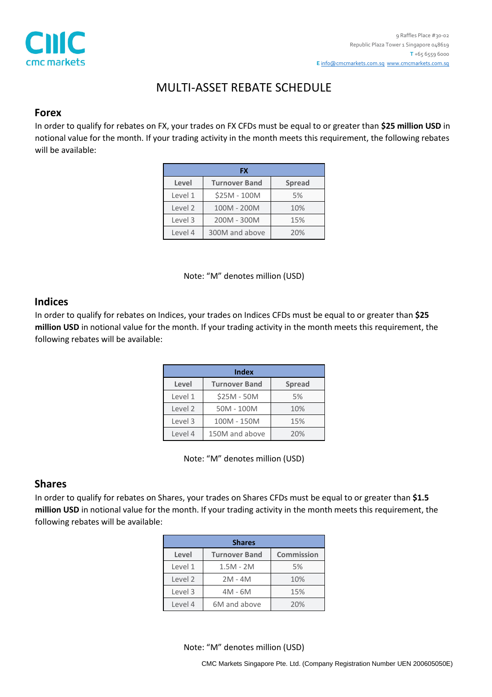

# MULTI-ASSET REBATE SCHEDULE

### **Forex**

In order to qualify for rebates on FX, your trades on FX CFDs must be equal to or greater than **\$25 million USD** in notional value for the month. If your trading activity in the month meets this requirement, the following rebates will be available:

| FX      |                      |               |  |
|---------|----------------------|---------------|--|
| Level   | <b>Turnover Band</b> | <b>Spread</b> |  |
| Level 1 | \$25M - 100M         | 5%            |  |
| Level 2 | 100M - 200M          | 10%           |  |
| Level 3 | 200M - 300M          | 15%           |  |
| Level 4 | 300M and above       | 20%           |  |

Note: "M" denotes million (USD)

## **Indices**

In order to qualify for rebates on Indices, your trades on Indices CFDs must be equal to or greater than **\$25 million USD** in notional value for the month. If your trading activity in the month meets this requirement, the following rebates will be available:

| <b>Index</b> |                      |               |
|--------------|----------------------|---------------|
| Level        | <b>Turnover Band</b> | <b>Spread</b> |
| Level 1      | \$25M - 50M          | 5%            |
| Level 2      | 50M - 100M           | 10%           |
| Level 3      | 100M - 150M          | 15%           |
| Level 4      | 150M and above       | 20%           |

Note: "M" denotes million (USD)

## **Shares**

In order to qualify for rebates on Shares, your trades on Shares CFDs must be equal to or greater than **\$1.5 million USD** in notional value for the month. If your trading activity in the month meets this requirement, the following rebates will be available:

| <b>Shares</b> |                      |                   |
|---------------|----------------------|-------------------|
| Level         | <b>Turnover Band</b> | <b>Commission</b> |
| Level 1       | $1.5M - 2M$          | 5%                |
| Level 2       | $2M - 4M$            | 10%               |
| Level 3       | $4M - 6M$            | 15%               |
| Level 4       | 6M and above         | 20%               |

Note: "M" denotes million (USD)